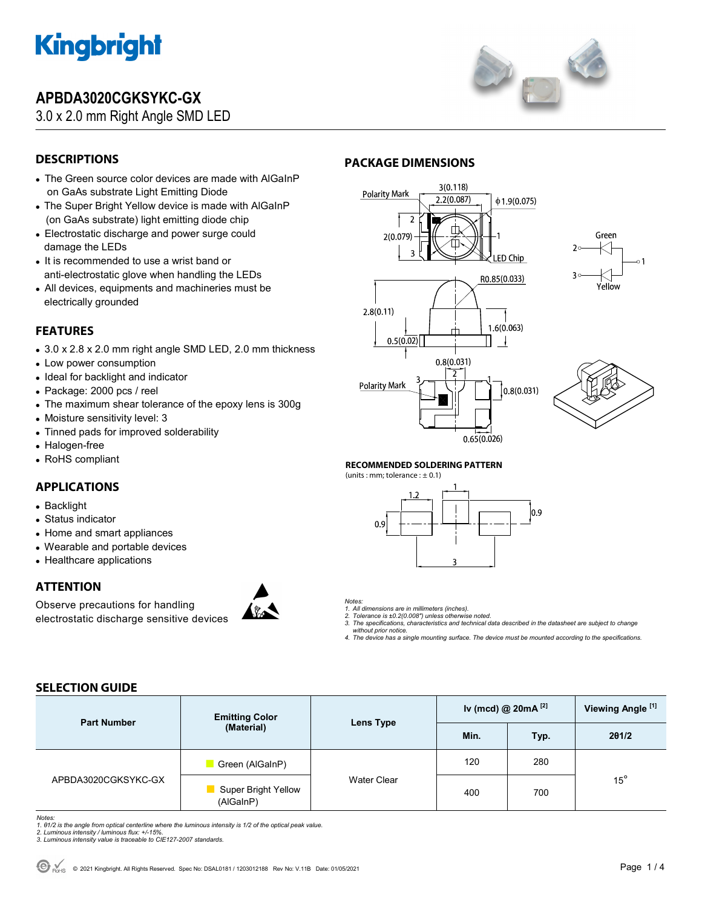

## **APBDA3020CGKSYKC-GX**

3.0 x 2.0 mm Right Angle SMD LED



## **DESCRIPTIONS**

- The Green source color devices are made with AlGaInP on GaAs substrate Light Emitting Diode
- The Super Bright Yellow device is made with AlGaInP (on GaAs substrate) light emitting diode chip
- Electrostatic discharge and power surge could damage the LEDs
- It is recommended to use a wrist band or anti-electrostatic glove when handling the LEDs
- All devices, equipments and machineries must be electrically grounded

## **FEATURES**

- 3.0 x 2.8 x 2.0 mm right angle SMD LED, 2.0 mm thickness
- Low power consumption
- Ideal for backlight and indicator
- Package: 2000 pcs / reel
- The maximum shear tolerance of the epoxy lens is 300g
- Moisture sensitivity level: 3
- Tinned pads for improved solderability
- Halogen-free
- RoHS compliant

## **APPLICATIONS**

- Backlight
- Status indicator
- Home and smart appliances
- Wearable and portable devices
- Healthcare applications

## **ATTENTION**

Observe precautions for handling electrostatic discharge sensitive devices



## **PACKAGE DIMENSIONS**









### **RECOMMENDED SOLDERING PATTERN**

(units : mm; tolerance :  $\pm$  0.1)





*Notes: 1. All dimensions are in millimeters (inches).* 

- *2. Tolerance is ±0.2(0.008") unless otherwise noted. 3. The specifications, characteristics and technical data described in the datasheet are subject to change*
- *without prior notice. 4. The device has a single mounting surface. The device must be mounted according to the specifications.*

## **SELECTION GUIDE**

| <b>Part Number</b>  | <b>Emitting Color</b><br>(Material)     | Lens Type          | Iv (mcd) $@$ 20mA $^{[2]}$ |      | Viewing Angle <sup>[1]</sup> |
|---------------------|-----------------------------------------|--------------------|----------------------------|------|------------------------------|
|                     |                                         |                    | Min.                       | Typ. | 201/2                        |
| APBDA3020CGKSYKC-GX | Green (AlGalnP)                         | <b>Water Clear</b> | 120                        | 280  |                              |
|                     | <b>Super Bright Yellow</b><br>(AlGaInP) |                    | 400                        | 700  | $15^\circ$                   |

Notes:<br>1. 81/2 is the angle from optical centerline where the luminous intensity is 1/2 of the optical peak value.<br>2. Luminous intensity / luminous flux: +/-15%.<br>3. Luminous intensity value is traceable to CIE127-2007 stan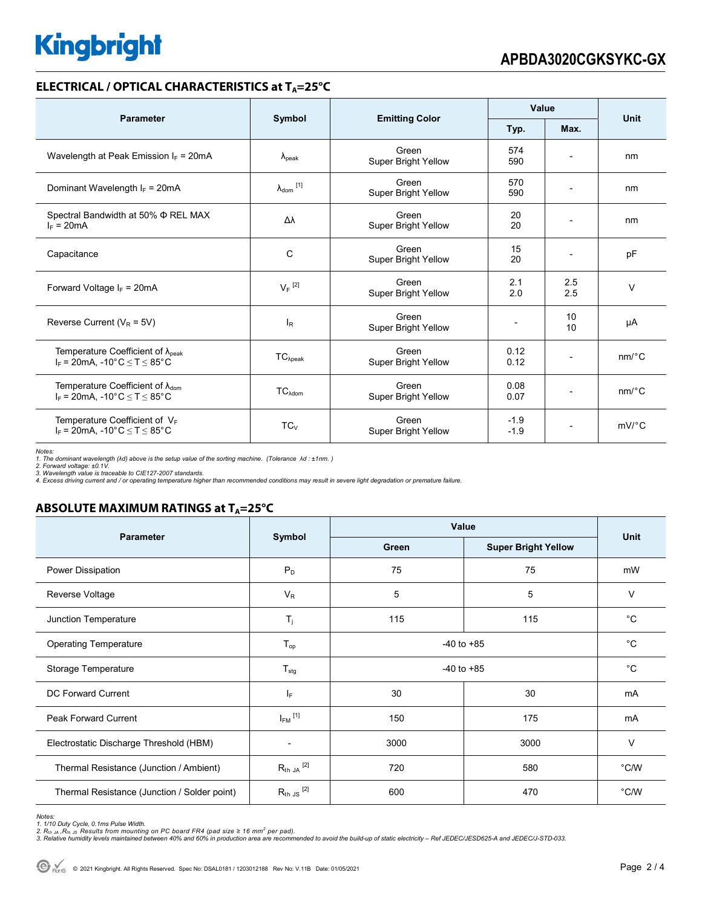## **Kingbright**

## **ELECTRICAL / OPTICAL CHARACTERISTICS at TA=25°C**

| <b>Parameter</b>                                                                             | Symbol                     |                                     | Value            |                          | <b>Unit</b>           |
|----------------------------------------------------------------------------------------------|----------------------------|-------------------------------------|------------------|--------------------------|-----------------------|
|                                                                                              |                            | <b>Emitting Color</b>               | Typ.             | Max.                     |                       |
| Wavelength at Peak Emission $I_F = 20mA$                                                     | $\lambda_{\rm peak}$       | Green<br>Super Bright Yellow        | 574<br>590       |                          | nm                    |
| Dominant Wavelength $I_F = 20mA$                                                             | $\lambda_{\text{dom}}$ [1] | Green<br>Super Bright Yellow        | 570<br>590       | $\overline{\phantom{a}}$ | nm                    |
| Spectral Bandwidth at 50% Φ REL MAX<br>$I_F = 20mA$                                          | Δλ                         | Green<br>Super Bright Yellow        | 20<br>20         | $\overline{\phantom{0}}$ | nm                    |
| Capacitance                                                                                  | С                          | Green<br>Super Bright Yellow        | 15<br>20         |                          | pF                    |
| Forward Voltage $I_F = 20 \text{mA}$                                                         | $V_F$ <sup>[2]</sup>       | Green<br><b>Super Bright Yellow</b> | 2.1<br>2.0       | 2.5<br>2.5               | $\vee$                |
| Reverse Current ( $V_R$ = 5V)                                                                | $I_R$                      | Green<br>Super Bright Yellow        |                  | 10<br>10                 | μA                    |
| Temperature Coefficient of $\lambda_{\text{peak}}$<br>$I_F = 20mA$ , -10°C $\le T \le 85$ °C | $TC_{\lambda peak}$        | Green<br>Super Bright Yellow        | 0.12<br>0.12     |                          | $nm$ <sup>o</sup> $C$ |
| Temperature Coefficient of $\lambda_{\text{dom}}$<br>$I_F$ = 20mA, -10°C $\leq T \leq 85$ °C | $TC_{\lambda dom}$         | Green<br>Super Bright Yellow        | 0.08<br>0.07     | $\overline{\phantom{a}}$ | nm/°C                 |
| Temperature Coefficient of $V_F$<br>$I_F$ = 20mA, -10°C $\leq T \leq 85$ °C                  | $TC_{V}$                   | Green<br>Super Bright Yellow        | $-1.9$<br>$-1.9$ |                          | $mV$ <sup>o</sup> $C$ |

Notes:<br>1. The dominant wavelength (λd) above is the setup value of the sorting machine. (Tolerance λd : ±1nm. )<br>2. Forward voltage: ±0.1V.<br>4. Excess driving current and / or operating temperature higher than recommended c

## **ABSOLUTE MAXIMUM RATINGS at TA=25°C**

| <b>Parameter</b>                             |                            | Value          | <b>Unit</b>                |               |  |
|----------------------------------------------|----------------------------|----------------|----------------------------|---------------|--|
|                                              | Symbol                     | Green          | <b>Super Bright Yellow</b> |               |  |
| Power Dissipation                            | $P_D$                      | 75             | 75                         | mW            |  |
| Reverse Voltage                              | $V_{R}$                    | 5              | 5                          | V             |  |
| Junction Temperature                         | $\mathsf{T}_j$             | 115            | 115                        | $^{\circ}C$   |  |
| <b>Operating Temperature</b>                 | $T_{op}$                   | $-40$ to $+85$ |                            | $^{\circ}C$   |  |
| Storage Temperature                          | $T_{\text{stg}}$           | $-40$ to $+85$ |                            | $^{\circ}C$   |  |
| DC Forward Current                           | IF.                        | 30<br>30       |                            | mA            |  |
| <b>Peak Forward Current</b>                  | $I_{FM}$ <sup>[1]</sup>    | 150<br>175     |                            | mA            |  |
| Electrostatic Discharge Threshold (HBM)      |                            | 3000           | 3000                       | V             |  |
| Thermal Resistance (Junction / Ambient)      | $R_{th}$ JA $^{[2]}$       | 720            | 580                        | °C/W          |  |
| Thermal Resistance (Junction / Solder point) | $R_{th,JS}$ <sup>[2]</sup> | 600            | 470                        | $\degree$ C/W |  |

Notes:<br>1. 1/10 Duty Cycle, 0.1ms Pulse Width.<br>2. R<sub>th JA</sub> ,R<sub>th JS</sub> Results from mounting on PC board FR4 (pad size ≥ 16 mm<sup>2</sup> per pad).<br>3. Relative humidity levels maintained between 40% and 60% in production area are re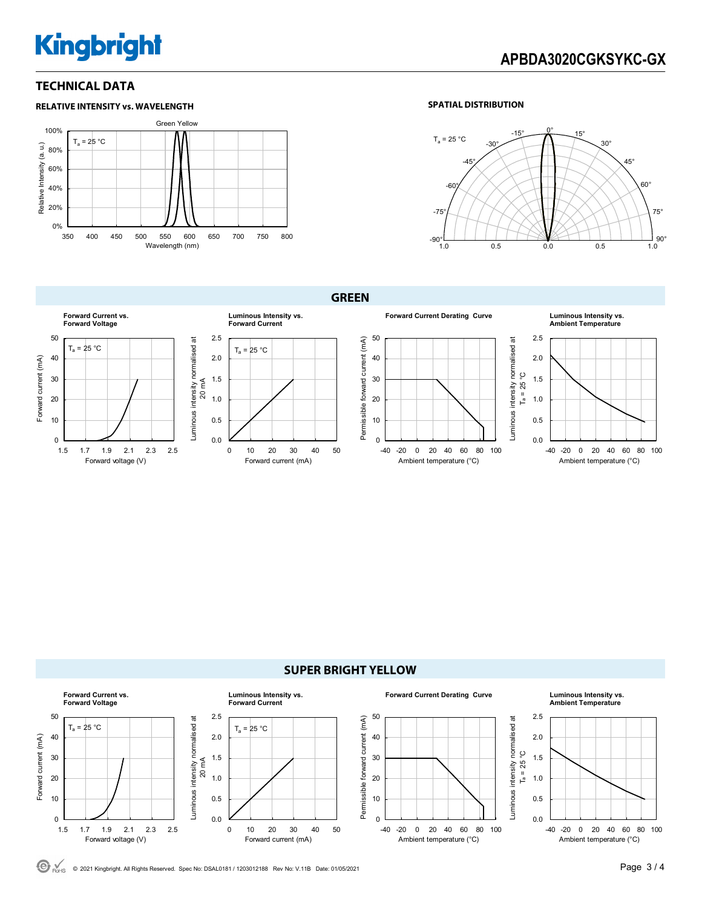## **Kingbright**

## **APBDA3020CGKSYKC-GX**

## **TECHNICAL DATA**





### **GREEN**